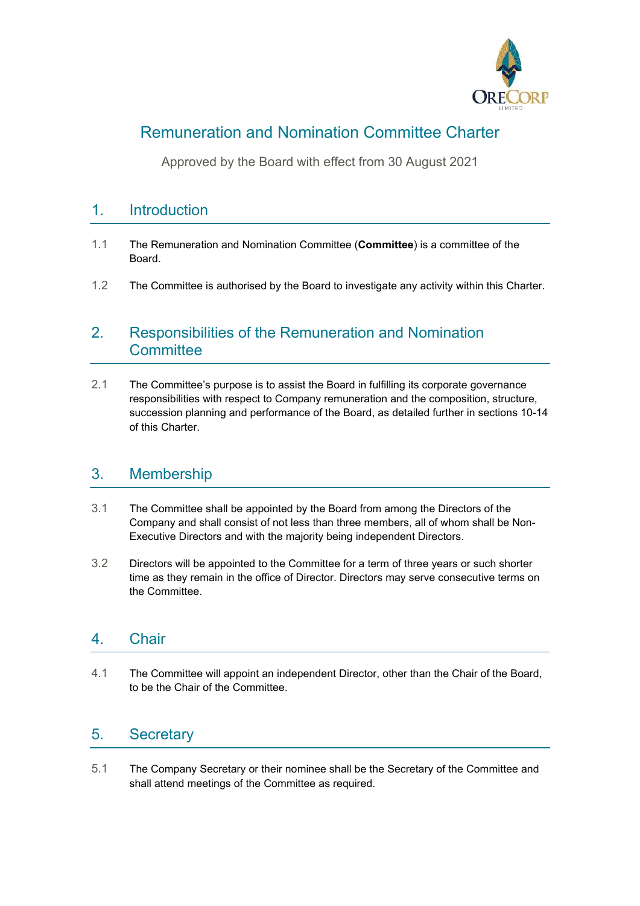

# Remuneration and Nomination Committee Charter

Approved by the Board with effect from 30 August 2021

# 1. Introduction

- 1.1 The Remuneration and Nomination Committee (**Committee**) is a committee of the Board.
- 1.2 The Committee is authorised by the Board to investigate any activity within this Charter.

# 2. Responsibilities of the Remuneration and Nomination **Committee**

2.1 The Committee's purpose is to assist the Board in fulfilling its corporate governance responsibilities with respect to Company remuneration and the composition, structure, succession planning and performance of the Board, as detailed further in sections 10-14 of this Charter.

### 3. Membership

- 3.1 The Committee shall be appointed by the Board from among the Directors of the Company and shall consist of not less than three members, all of whom shall be Non-Executive Directors and with the majority being independent Directors.
- 3.2 Directors will be appointed to the Committee for a term of three years or such shorter time as they remain in the office of Director. Directors may serve consecutive terms on the Committee.

# 4. Chair

4.1 The Committee will appoint an independent Director, other than the Chair of the Board, to be the Chair of the Committee.

# 5. Secretary

5.1 The Company Secretary or their nominee shall be the Secretary of the Committee and shall attend meetings of the Committee as required.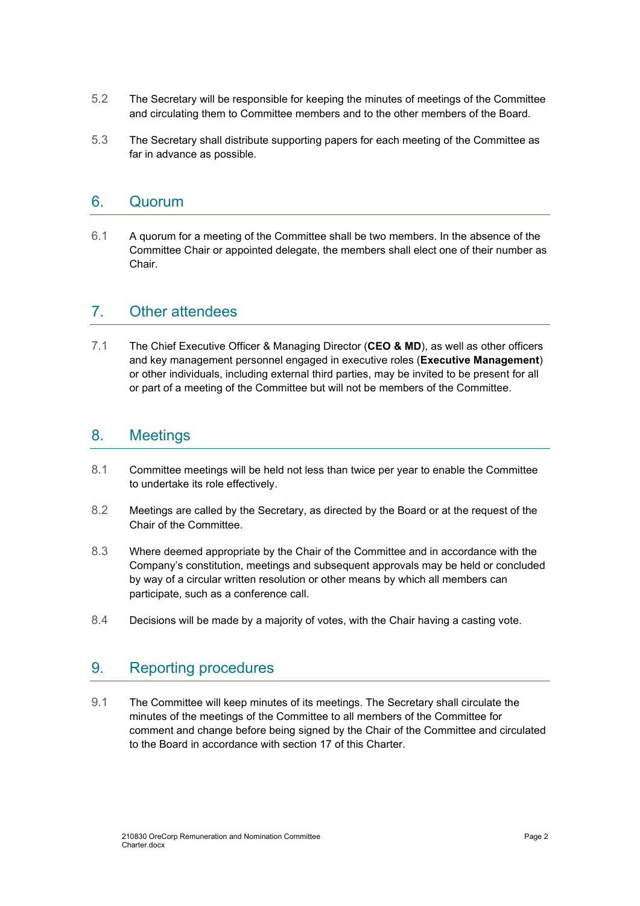- 5.2 The Secretary will be responsible for keeping the minutes of meetings of the Committee and circulating them to Committee members and to the other members of the Board.
- 5.3 The Secretary shall distribute supporting papers for each meeting of the Committee as far in advance as possible.

#### 6. Quorum

6.1 A quorum for a meeting of the Committee shall be two members. In the absence of the Committee Chair or appointed delegate, the members shall elect one of their number as Chair.

#### 7. Other attendees

7.1 The Chief Executive Officer & Managing Director (**CEO & MD**), as well as other officers and key management personnel engaged in executive roles (**Executive Management**) or other individuals, including external third parties, may be invited to be present for all or part of a meeting of the Committee but will not be members of the Committee.

#### 8. Meetings

- 8.1 Committee meetings will be held not less than twice per year to enable the Committee to undertake its role effectively.
- 8.2 Meetings are called by the Secretary, as directed by the Board or at the request of the Chair of the Committee.
- 8.3 Where deemed appropriate by the Chair of the Committee and in accordance with the Company's constitution, meetings and subsequent approvals may be held or concluded by way of a circular written resolution or other means by which all members can participate, such as a conference call.
- 8.4 Decisions will be made by a majority of votes, with the Chair having a casting vote.

#### 9. Reporting procedures

9.1 The Committee will keep minutes of its meetings. The Secretary shall circulate the minutes of the meetings of the Committee to all members of the Committee for comment and change before being signed by the Chair of the Committee and circulated to the Board in accordance with section 17 of this Charter.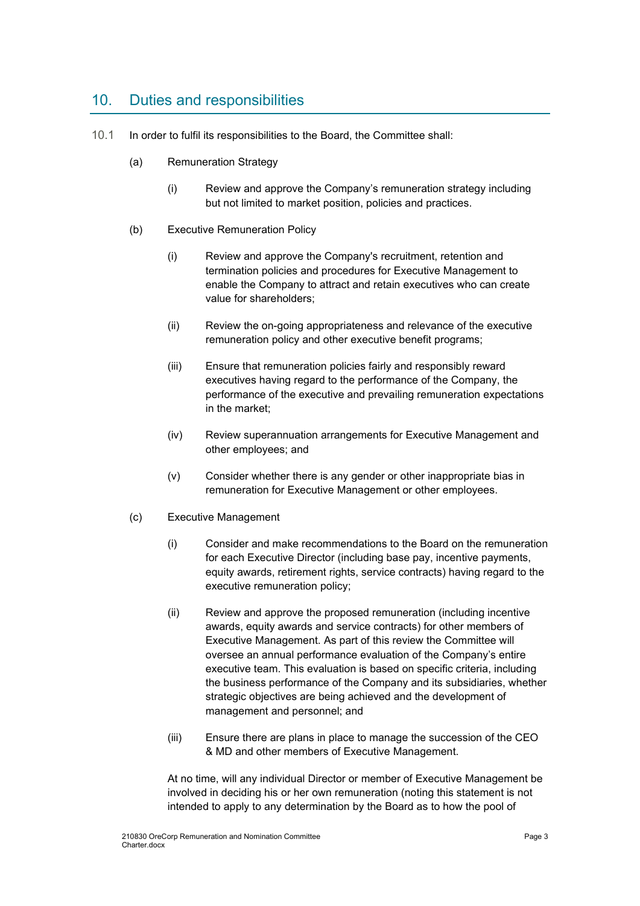### 10. Duties and responsibilities

- 10.1 In order to fulfil its responsibilities to the Board, the Committee shall:
	- (a) Remuneration Strategy
		- (i) Review and approve the Company's remuneration strategy including but not limited to market position, policies and practices.
	- (b) Executive Remuneration Policy
		- (i) Review and approve the Company's recruitment, retention and termination policies and procedures for Executive Management to enable the Company to attract and retain executives who can create value for shareholders;
		- (ii) Review the on-going appropriateness and relevance of the executive remuneration policy and other executive benefit programs;
		- (iii) Ensure that remuneration policies fairly and responsibly reward executives having regard to the performance of the Company, the performance of the executive and prevailing remuneration expectations in the market;
		- (iv) Review superannuation arrangements for Executive Management and other employees; and
		- (v) Consider whether there is any gender or other inappropriate bias in remuneration for Executive Management or other employees.
	- (c) Executive Management
		- (i) Consider and make recommendations to the Board on the remuneration for each Executive Director (including base pay, incentive payments, equity awards, retirement rights, service contracts) having regard to the executive remuneration policy;
		- (ii) Review and approve the proposed remuneration (including incentive awards, equity awards and service contracts) for other members of Executive Management. As part of this review the Committee will oversee an annual performance evaluation of the Company's entire executive team. This evaluation is based on specific criteria, including the business performance of the Company and its subsidiaries, whether strategic objectives are being achieved and the development of management and personnel; and
		- (iii) Ensure there are plans in place to manage the succession of the CEO & MD and other members of Executive Management.

At no time, will any individual Director or member of Executive Management be involved in deciding his or her own remuneration (noting this statement is not intended to apply to any determination by the Board as to how the pool of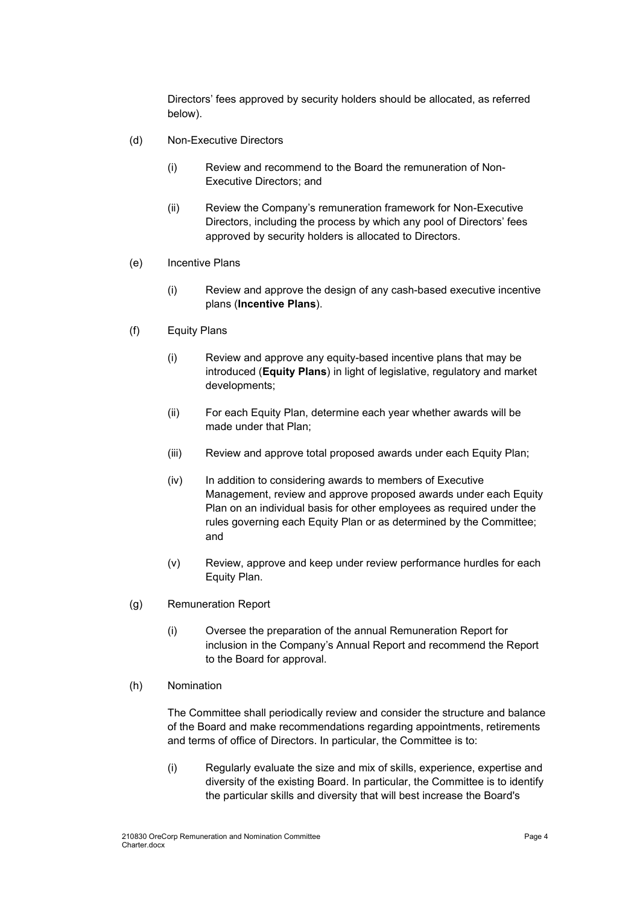Directors' fees approved by security holders should be allocated, as referred below).

- (d) Non-Executive Directors
	- (i) Review and recommend to the Board the remuneration of Non-Executive Directors; and
	- (ii) Review the Company's remuneration framework for Non-Executive Directors, including the process by which any pool of Directors' fees approved by security holders is allocated to Directors.
- (e) Incentive Plans
	- (i) Review and approve the design of any cash-based executive incentive plans (**Incentive Plans**).
- (f) Equity Plans
	- (i) Review and approve any equity-based incentive plans that may be introduced (**Equity Plans**) in light of legislative, regulatory and market developments;
	- (ii) For each Equity Plan, determine each year whether awards will be made under that Plan;
	- (iii) Review and approve total proposed awards under each Equity Plan;
	- (iv) In addition to considering awards to members of Executive Management, review and approve proposed awards under each Equity Plan on an individual basis for other employees as required under the rules governing each Equity Plan or as determined by the Committee; and
	- (v) Review, approve and keep under review performance hurdles for each Equity Plan.
- (g) Remuneration Report
	- (i) Oversee the preparation of the annual Remuneration Report for inclusion in the Company's Annual Report and recommend the Report to the Board for approval.
- (h) Nomination

The Committee shall periodically review and consider the structure and balance of the Board and make recommendations regarding appointments, retirements and terms of office of Directors. In particular, the Committee is to:

(i) Regularly evaluate the size and mix of skills, experience, expertise and diversity of the existing Board. In particular, the Committee is to identify the particular skills and diversity that will best increase the Board's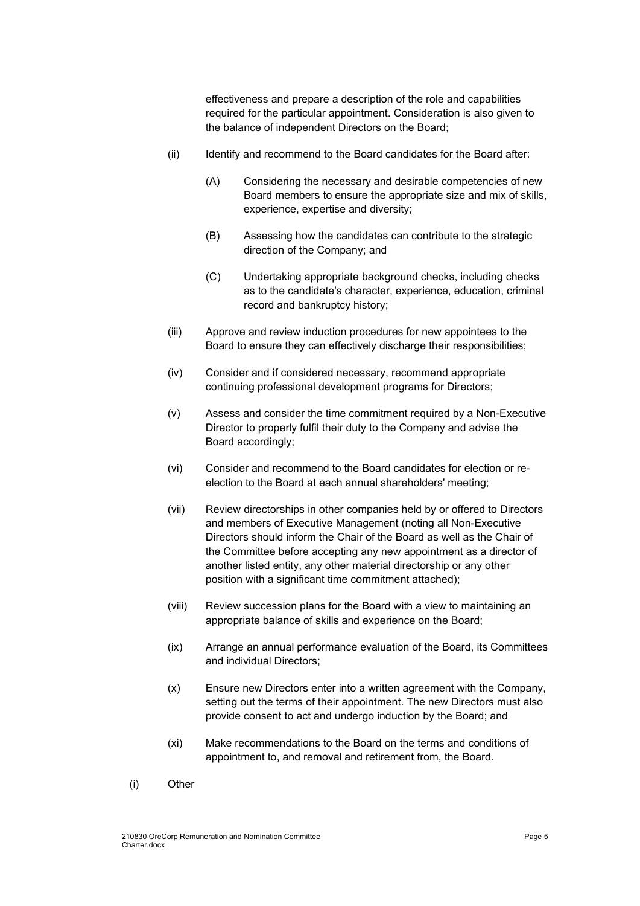effectiveness and prepare a description of the role and capabilities required for the particular appointment. Consideration is also given to the balance of independent Directors on the Board;

- (ii) Identify and recommend to the Board candidates for the Board after:
	- (A) Considering the necessary and desirable competencies of new Board members to ensure the appropriate size and mix of skills, experience, expertise and diversity;
	- (B) Assessing how the candidates can contribute to the strategic direction of the Company; and
	- (C) Undertaking appropriate background checks, including checks as to the candidate's character, experience, education, criminal record and bankruptcy history;
- (iii) Approve and review induction procedures for new appointees to the Board to ensure they can effectively discharge their responsibilities;
- (iv) Consider and if considered necessary, recommend appropriate continuing professional development programs for Directors;
- (v) Assess and consider the time commitment required by a Non-Executive Director to properly fulfil their duty to the Company and advise the Board accordingly;
- (vi) Consider and recommend to the Board candidates for election or reelection to the Board at each annual shareholders' meeting;
- (vii) Review directorships in other companies held by or offered to Directors and members of Executive Management (noting all Non-Executive Directors should inform the Chair of the Board as well as the Chair of the Committee before accepting any new appointment as a director of another listed entity, any other material directorship or any other position with a significant time commitment attached);
- (viii) Review succession plans for the Board with a view to maintaining an appropriate balance of skills and experience on the Board;
- (ix) Arrange an annual performance evaluation of the Board, its Committees and individual Directors;
- (x) Ensure new Directors enter into a written agreement with the Company, setting out the terms of their appointment. The new Directors must also provide consent to act and undergo induction by the Board; and
- (xi) Make recommendations to the Board on the terms and conditions of appointment to, and removal and retirement from, the Board.
- (i) Other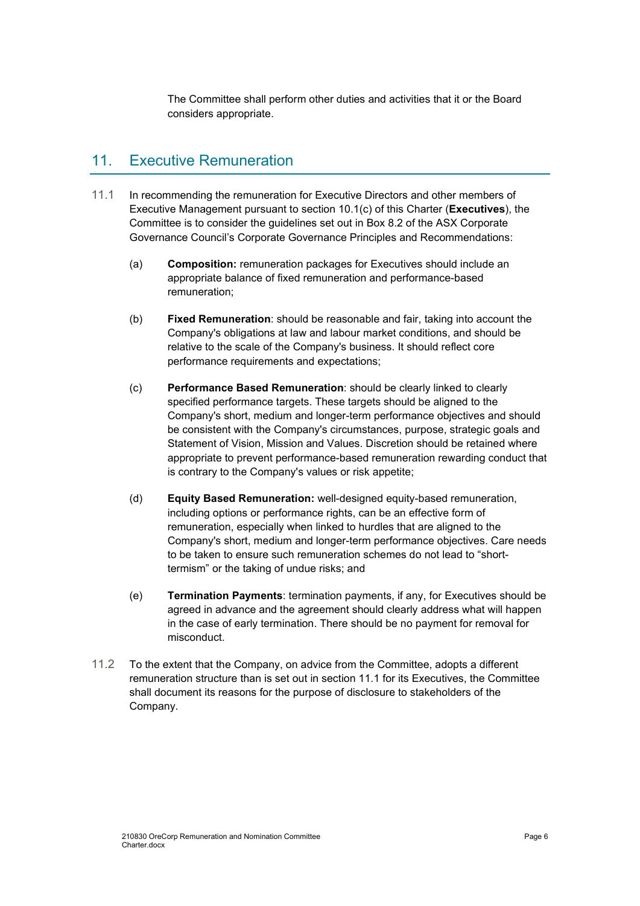The Committee shall perform other duties and activities that it or the Board considers appropriate.

### 11. Executive Remuneration

- 11.1 In recommending the remuneration for Executive Directors and other members of Executive Management pursuant to section 10.1(c) of this Charter (**Executives**), the Committee is to consider the guidelines set out in Box 8.2 of the ASX Corporate Governance Council's Corporate Governance Principles and Recommendations:
	- (a) **Composition:** remuneration packages for Executives should include an appropriate balance of fixed remuneration and performance-based remuneration;
	- (b) **Fixed Remuneration**: should be reasonable and fair, taking into account the Company's obligations at law and labour market conditions, and should be relative to the scale of the Company's business. It should reflect core performance requirements and expectations;
	- (c) **Performance Based Remuneration**: should be clearly linked to clearly specified performance targets. These targets should be aligned to the Company's short, medium and longer-term performance objectives and should be consistent with the Company's circumstances, purpose, strategic goals and Statement of Vision, Mission and Values. Discretion should be retained where appropriate to prevent performance-based remuneration rewarding conduct that is contrary to the Company's values or risk appetite;
	- (d) **Equity Based Remuneration:** well-designed equity-based remuneration, including options or performance rights, can be an effective form of remuneration, especially when linked to hurdles that are aligned to the Company's short, medium and longer-term performance objectives. Care needs to be taken to ensure such remuneration schemes do not lead to "shorttermism" or the taking of undue risks; and
	- (e) **Termination Payments**: termination payments, if any, for Executives should be agreed in advance and the agreement should clearly address what will happen in the case of early termination. There should be no payment for removal for misconduct.
- 11.2 To the extent that the Company, on advice from the Committee, adopts a different remuneration structure than is set out in section 11.1 for its Executives, the Committee shall document its reasons for the purpose of disclosure to stakeholders of the Company.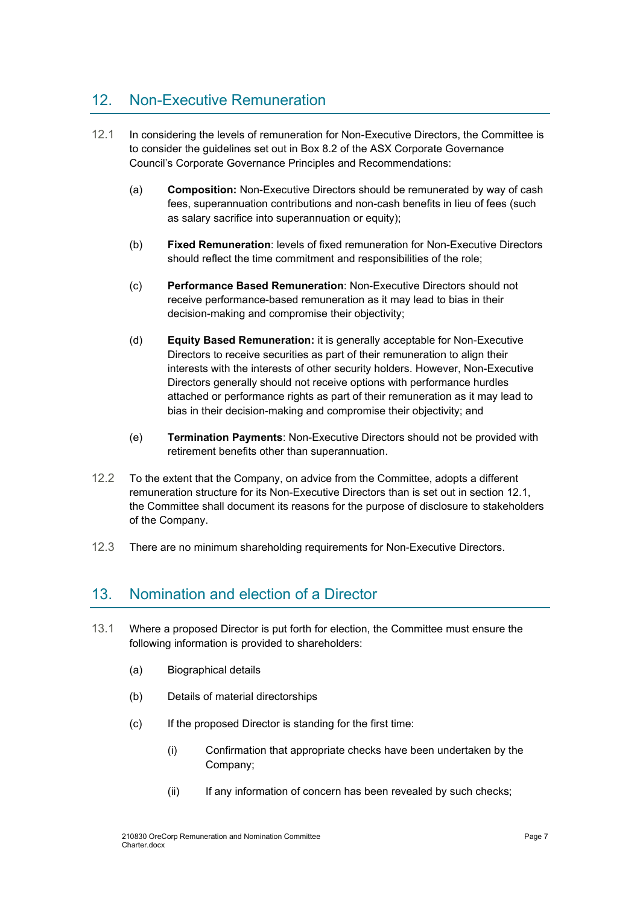### 12. Non-Executive Remuneration

- 12.1 In considering the levels of remuneration for Non-Executive Directors, the Committee is to consider the guidelines set out in Box 8.2 of the ASX Corporate Governance Council's Corporate Governance Principles and Recommendations:
	- (a) **Composition:** Non-Executive Directors should be remunerated by way of cash fees, superannuation contributions and non-cash benefits in lieu of fees (such as salary sacrifice into superannuation or equity);
	- (b) **Fixed Remuneration**: levels of fixed remuneration for Non-Executive Directors should reflect the time commitment and responsibilities of the role;
	- (c) **Performance Based Remuneration**: Non-Executive Directors should not receive performance-based remuneration as it may lead to bias in their decision-making and compromise their objectivity;
	- (d) **Equity Based Remuneration:** it is generally acceptable for Non-Executive Directors to receive securities as part of their remuneration to align their interests with the interests of other security holders. However, Non-Executive Directors generally should not receive options with performance hurdles attached or performance rights as part of their remuneration as it may lead to bias in their decision-making and compromise their objectivity; and
	- (e) **Termination Payments**: Non-Executive Directors should not be provided with retirement benefits other than superannuation.
- 12.2 To the extent that the Company, on advice from the Committee, adopts a different remuneration structure for its Non-Executive Directors than is set out in section 12.1, the Committee shall document its reasons for the purpose of disclosure to stakeholders of the Company.
- 12.3 There are no minimum shareholding requirements for Non-Executive Directors.

#### 13. Nomination and election of a Director

- 13.1 Where a proposed Director is put forth for election, the Committee must ensure the following information is provided to shareholders:
	- (a) Biographical details
	- (b) Details of material directorships
	- (c) If the proposed Director is standing for the first time:
		- (i) Confirmation that appropriate checks have been undertaken by the Company;
		- (ii) If any information of concern has been revealed by such checks;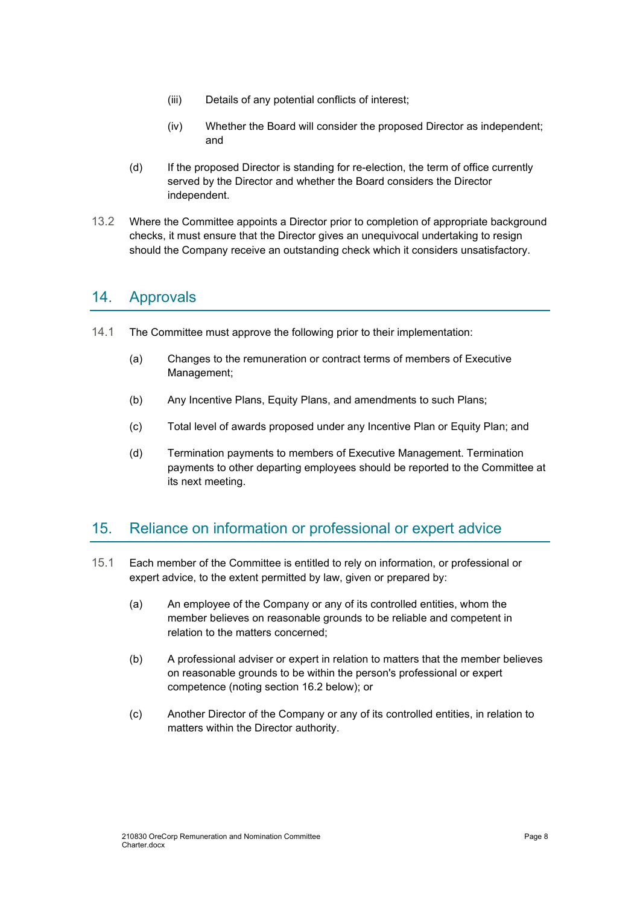- (iii) Details of any potential conflicts of interest;
- (iv) Whether the Board will consider the proposed Director as independent; and
- (d) If the proposed Director is standing for re-election, the term of office currently served by the Director and whether the Board considers the Director independent.
- 13.2 Where the Committee appoints a Director prior to completion of appropriate background checks, it must ensure that the Director gives an unequivocal undertaking to resign should the Company receive an outstanding check which it considers unsatisfactory.

### 14. Approvals

- 14.1 The Committee must approve the following prior to their implementation:
	- (a) Changes to the remuneration or contract terms of members of Executive Management;
	- (b) Any Incentive Plans, Equity Plans, and amendments to such Plans;
	- (c) Total level of awards proposed under any Incentive Plan or Equity Plan; and
	- (d) Termination payments to members of Executive Management. Termination payments to other departing employees should be reported to the Committee at its next meeting.

#### 15. Reliance on information or professional or expert advice

- 15.1 Each member of the Committee is entitled to rely on information, or professional or expert advice, to the extent permitted by law, given or prepared by:
	- (a) An employee of the Company or any of its controlled entities, whom the member believes on reasonable grounds to be reliable and competent in relation to the matters concerned;
	- (b) A professional adviser or expert in relation to matters that the member believes on reasonable grounds to be within the person's professional or expert competence (noting section 16.2 below); or
	- (c) Another Director of the Company or any of its controlled entities, in relation to matters within the Director authority.